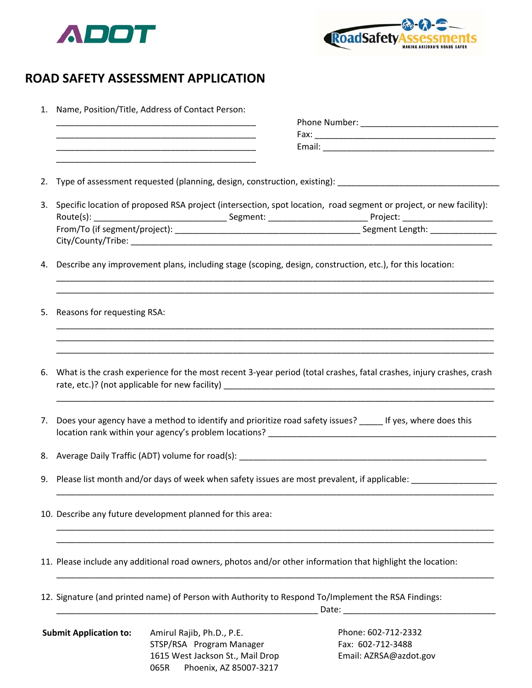



Email: AZRSA@azdot.gov

## **ROAD SAFETY ASSESSMENT APPLICATION**

| 1. | Name, Position/Title, Address of Contact Person:                                                                    |                                                                                                           |                                                                                                                    |  |
|----|---------------------------------------------------------------------------------------------------------------------|-----------------------------------------------------------------------------------------------------------|--------------------------------------------------------------------------------------------------------------------|--|
|    |                                                                                                                     |                                                                                                           |                                                                                                                    |  |
|    |                                                                                                                     |                                                                                                           |                                                                                                                    |  |
|    |                                                                                                                     |                                                                                                           |                                                                                                                    |  |
|    | <u> 1990 - Johann John Stone, mars eta biztanleria (</u>                                                            |                                                                                                           |                                                                                                                    |  |
| 2. |                                                                                                                     |                                                                                                           |                                                                                                                    |  |
| 3. |                                                                                                                     |                                                                                                           | Specific location of proposed RSA project (intersection, spot location, road segment or project, or new facility): |  |
|    |                                                                                                                     |                                                                                                           |                                                                                                                    |  |
| 4. |                                                                                                                     | Describe any improvement plans, including stage (scoping, design, construction, etc.), for this location: |                                                                                                                    |  |
| 5. | Reasons for requesting RSA:                                                                                         |                                                                                                           |                                                                                                                    |  |
| 6. | What is the crash experience for the most recent 3-year period (total crashes, fatal crashes, injury crashes, crash |                                                                                                           |                                                                                                                    |  |
| 7. | Does your agency have a method to identify and prioritize road safety issues? _____ If yes, where does this         |                                                                                                           |                                                                                                                    |  |
|    |                                                                                                                     |                                                                                                           |                                                                                                                    |  |
|    | 9. Please list month and/or days of week when safety issues are most prevalent, if applicable: _______________      |                                                                                                           |                                                                                                                    |  |
|    | 10. Describe any future development planned for this area:                                                          |                                                                                                           |                                                                                                                    |  |
|    | 11. Please include any additional road owners, photos and/or other information that highlight the location:         |                                                                                                           |                                                                                                                    |  |
|    | 12. Signature (and printed name) of Person with Authority to Respond To/Implement the RSA Findings:                 |                                                                                                           |                                                                                                                    |  |
|    | <b>Submit Application to:</b>                                                                                       | Amirul Rajib, Ph.D., P.E.<br>STSP/RSA Program Manager                                                     | Phone: 602-712-2332<br>Fax: 602-712-3488                                                                           |  |

1615 West Jackson St., Mail Drop 065R Phoenix, AZ 85007‐3217